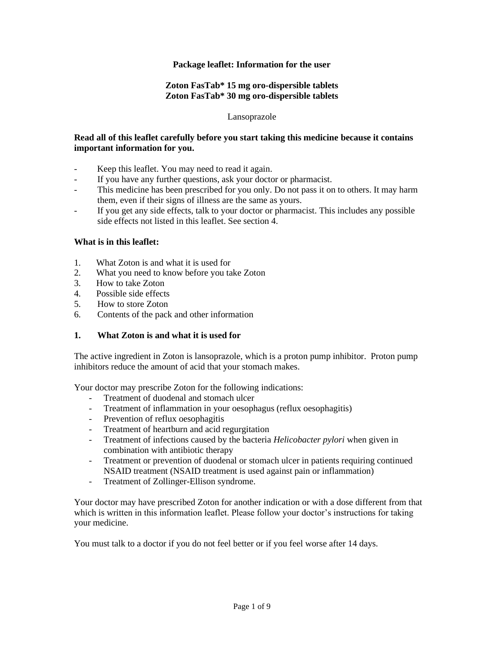### **Package leaflet: Information for the user**

## **Zoton FasTab\* 15 mg oro-dispersible tablets Zoton FasTab\* 30 mg oro-dispersible tablets**

#### Lansoprazole

### **Read all of this leaflet carefully before you start taking this medicine because it contains important information for you.**

- Keep this leaflet. You may need to read it again.
- If you have any further questions, ask your doctor or pharmacist.
- This medicine has been prescribed for you only. Do not pass it on to others. It may harm them, even if their signs of illness are the same as yours.
- If you get any side effects, talk to your doctor or pharmacist. This includes any possible side effects not listed in this leaflet. See section 4.

### **What is in this leaflet:**

- 1. What Zoton is and what it is used for
- 2. What you need to know before you take Zoton
- 3. How to take Zoton
- 4. Possible side effects
- 5. How to store Zoton
- 6. Contents of the pack and other information

# **1. What Zoton is and what it is used for**

The active ingredient in Zoton is lansoprazole, which is a proton pump inhibitor. Proton pump inhibitors reduce the amount of acid that your stomach makes.

Your doctor may prescribe Zoton for the following indications:

- Treatment of duodenal and stomach ulcer
- Treatment of inflammation in your oesophagus (reflux oesophagitis)
- Prevention of reflux oesophagitis
- Treatment of heartburn and acid regurgitation
- Treatment of infections caused by the bacteria *Helicobacter pylori* when given in combination with antibiotic therapy
- Treatment or prevention of duodenal or stomach ulcer in patients requiring continued NSAID treatment (NSAID treatment is used against pain or inflammation)
- Treatment of Zollinger-Ellison syndrome.

Your doctor may have prescribed Zoton for another indication or with a dose different from that which is written in this information leaflet. Please follow your doctor's instructions for taking your medicine.

You must talk to a doctor if you do not feel better or if you feel worse after 14 days.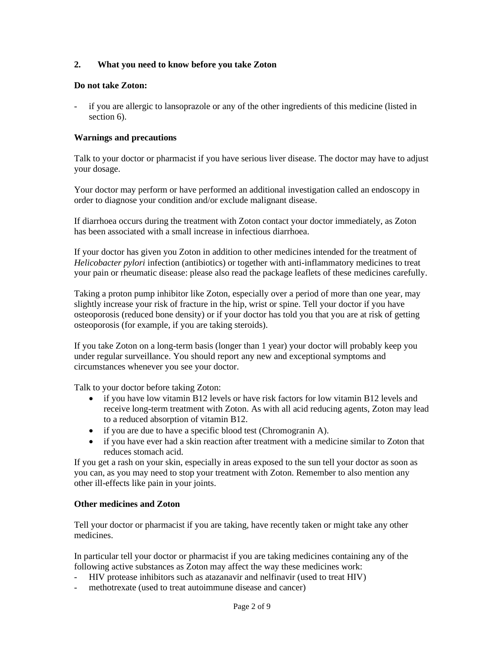## **2. What you need to know before you take Zoton**

#### **Do not take Zoton:**

- if you are allergic to lansoprazole or any of the other ingredients of this medicine (listed in section 6).

#### **Warnings and precautions**

Talk to your doctor or pharmacist if you have serious liver disease. The doctor may have to adjust your dosage.

Your doctor may perform or have performed an additional investigation called an endoscopy in order to diagnose your condition and/or exclude malignant disease.

If diarrhoea occurs during the treatment with Zoton contact your doctor immediately, as Zoton has been associated with a small increase in infectious diarrhoea.

If your doctor has given you Zoton in addition to other medicines intended for the treatment of *Helicobacter pylori* infection (antibiotics) or together with anti-inflammatory medicines to treat your pain or rheumatic disease: please also read the package leaflets of these medicines carefully.

Taking a proton pump inhibitor like Zoton, especially over a period of more than one year, may slightly increase your risk of fracture in the hip, wrist or spine. Tell your doctor if you have osteoporosis (reduced bone density) or if your doctor has told you that you are at risk of getting osteoporosis (for example, if you are taking steroids).

If you take Zoton on a long-term basis (longer than 1 year) your doctor will probably keep you under regular surveillance. You should report any new and exceptional symptoms and circumstances whenever you see your doctor.

Talk to your doctor before taking Zoton:

- if you have low vitamin B12 levels or have risk factors for low vitamin B12 levels and receive long-term treatment with Zoton. As with all acid reducing agents, Zoton may lead to a reduced absorption of vitamin B12.
- if you are due to have a specific blood test (Chromogranin A).
- if you have ever had a skin reaction after treatment with a medicine similar to Zoton that reduces stomach acid.

If you get a rash on your skin, especially in areas exposed to the sun tell your doctor as soon as you can, as you may need to stop your treatment with Zoton. Remember to also mention any other ill-effects like pain in your joints.

#### **Other medicines and Zoton**

Tell your doctor or pharmacist if you are taking, have recently taken or might take any other medicines.

In particular tell your doctor or pharmacist if you are taking medicines containing any of the following active substances as Zoton may affect the way these medicines work:

- HIV protease inhibitors such as atazanavir and nelfinavir (used to treat HIV)
- methotrexate (used to treat autoimmune disease and cancer)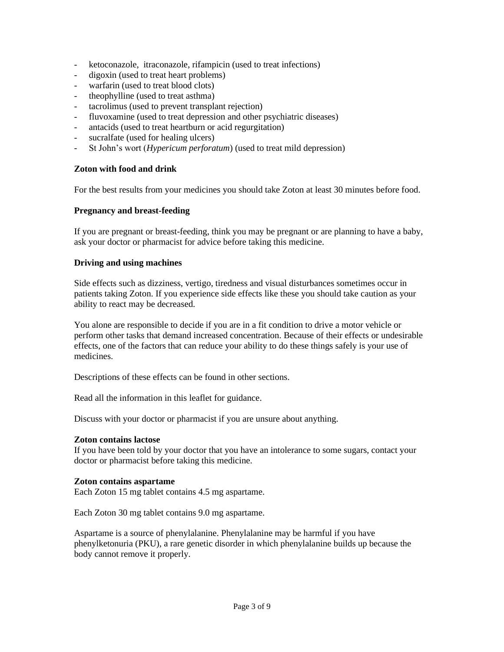- ketoconazole, itraconazole, rifampicin (used to treat infections)
- digoxin (used to treat heart problems)
- warfarin (used to treat blood clots)
- theophylline (used to treat asthma)
- tacrolimus (used to prevent transplant rejection)
- fluvoxamine (used to treat depression and other psychiatric diseases)
- antacids (used to treat heartburn or acid regurgitation)
- sucralfate (used for healing ulcers)
- St John's wort (*Hypericum perforatum*) (used to treat mild depression)

### **Zoton with food and drink**

For the best results from your medicines you should take Zoton at least 30 minutes before food.

## **Pregnancy and breast-feeding**

If you are pregnant or breast-feeding, think you may be pregnant or are planning to have a baby, ask your doctor or pharmacist for advice before taking this medicine.

## **Driving and using machines**

Side effects such as dizziness, vertigo, tiredness and visual disturbances sometimes occur in patients taking Zoton. If you experience side effects like these you should take caution as your ability to react may be decreased.

You alone are responsible to decide if you are in a fit condition to drive a motor vehicle or perform other tasks that demand increased concentration. Because of their effects or undesirable effects, one of the factors that can reduce your ability to do these things safely is your use of medicines.

Descriptions of these effects can be found in other sections.

Read all the information in this leaflet for guidance.

Discuss with your doctor or pharmacist if you are unsure about anything.

### **Zoton contains lactose**

If you have been told by your doctor that you have an intolerance to some sugars, contact your doctor or pharmacist before taking this medicine.

### **Zoton contains aspartame**

Each Zoton 15 mg tablet contains 4.5 mg aspartame.

Each Zoton 30 mg tablet contains 9.0 mg aspartame.

Aspartame is a source of phenylalanine. Phenylalanine may be harmful if you have phenylketonuria (PKU), a rare genetic disorder in which phenylalanine builds up because the body cannot remove it properly.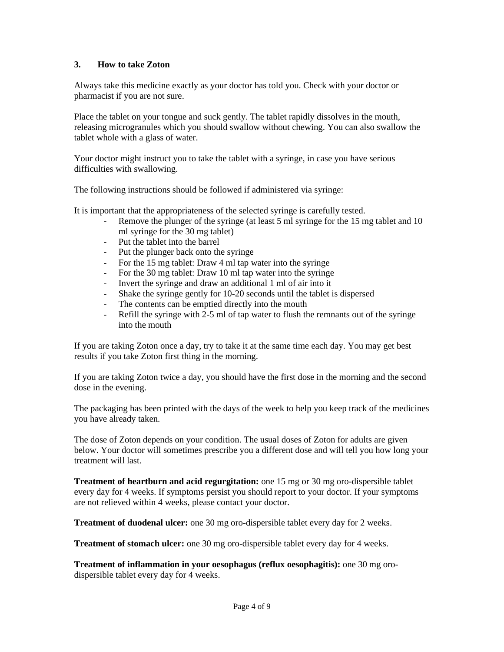## **3. How to take Zoton**

Always take this medicine exactly as your doctor has told you. Check with your doctor or pharmacist if you are not sure.

Place the tablet on your tongue and suck gently. The tablet rapidly dissolves in the mouth, releasing microgranules which you should swallow without chewing. You can also swallow the tablet whole with a glass of water.

Your doctor might instruct you to take the tablet with a syringe, in case you have serious difficulties with swallowing.

The following instructions should be followed if administered via syringe:

It is important that the appropriateness of the selected syringe is carefully tested.

- Remove the plunger of the syringe (at least 5 ml syringe for the 15 mg tablet and 10 ml syringe for the 30 mg tablet)
- Put the tablet into the barrel
- Put the plunger back onto the syringe
- For the 15 mg tablet: Draw 4 ml tap water into the syringe
- For the 30 mg tablet: Draw 10 ml tap water into the syringe
- Invert the syringe and draw an additional 1 ml of air into it
- Shake the syringe gently for 10-20 seconds until the tablet is dispersed
- The contents can be emptied directly into the mouth
- Refill the syringe with 2-5 ml of tap water to flush the remnants out of the syringe into the mouth

If you are taking Zoton once a day, try to take it at the same time each day. You may get best results if you take Zoton first thing in the morning.

If you are taking Zoton twice a day, you should have the first dose in the morning and the second dose in the evening.

The packaging has been printed with the days of the week to help you keep track of the medicines you have already taken.

The dose of Zoton depends on your condition. The usual doses of Zoton for adults are given below. Your doctor will sometimes prescribe you a different dose and will tell you how long your treatment will last.

**Treatment of heartburn and acid regurgitation:** one 15 mg or 30 mg oro-dispersible tablet every day for 4 weeks. If symptoms persist you should report to your doctor. If your symptoms are not relieved within 4 weeks, please contact your doctor.

**Treatment of duodenal ulcer:** one 30 mg oro-dispersible tablet every day for 2 weeks.

**Treatment of stomach ulcer:** one 30 mg oro-dispersible tablet every day for 4 weeks.

**Treatment of inflammation in your oesophagus (reflux oesophagitis):** one 30 mg orodispersible tablet every day for 4 weeks.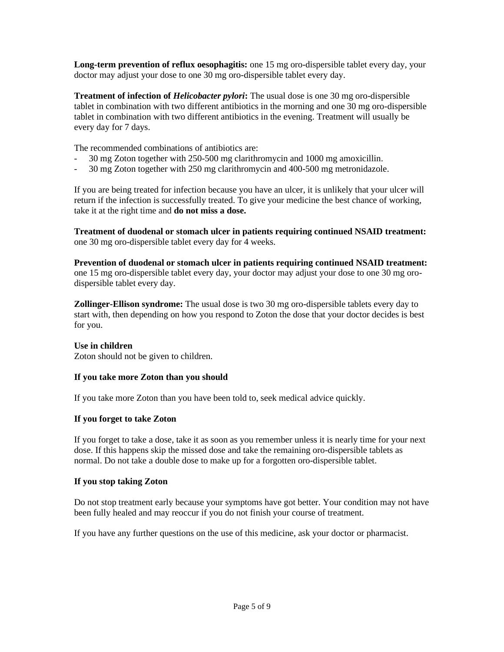**Long-term prevention of reflux oesophagitis:** one 15 mg oro-dispersible tablet every day, your doctor may adjust your dose to one 30 mg oro-dispersible tablet every day.

**Treatment of infection of** *Helicobacter pylori***:** The usual dose is one 30 mg oro-dispersible tablet in combination with two different antibiotics in the morning and one 30 mg oro-dispersible tablet in combination with two different antibiotics in the evening. Treatment will usually be every day for 7 days.

The recommended combinations of antibiotics are:

- 30 mg Zoton together with 250-500 mg clarithromycin and 1000 mg amoxicillin.
- 30 mg Zoton together with 250 mg clarithromycin and 400-500 mg metronidazole.

If you are being treated for infection because you have an ulcer, it is unlikely that your ulcer will return if the infection is successfully treated. To give your medicine the best chance of working, take it at the right time and **do not miss a dose.**

**Treatment of duodenal or stomach ulcer in patients requiring continued NSAID treatment:**  one 30 mg oro-dispersible tablet every day for 4 weeks.

**Prevention of duodenal or stomach ulcer in patients requiring continued NSAID treatment:**  one 15 mg oro-dispersible tablet every day, your doctor may adjust your dose to one 30 mg orodispersible tablet every day.

**Zollinger-Ellison syndrome:** The usual dose is two 30 mg oro-dispersible tablets every day to start with, then depending on how you respond to Zoton the dose that your doctor decides is best for you.

### **Use in children**

Zoton should not be given to children.

#### **If you take more Zoton than you should**

If you take more Zoton than you have been told to, seek medical advice quickly.

### **If you forget to take Zoton**

If you forget to take a dose, take it as soon as you remember unless it is nearly time for your next dose. If this happens skip the missed dose and take the remaining oro-dispersible tablets as normal. Do not take a double dose to make up for a forgotten oro-dispersible tablet.

#### **If you stop taking Zoton**

Do not stop treatment early because your symptoms have got better. Your condition may not have been fully healed and may reoccur if you do not finish your course of treatment.

If you have any further questions on the use of this medicine, ask your doctor or pharmacist.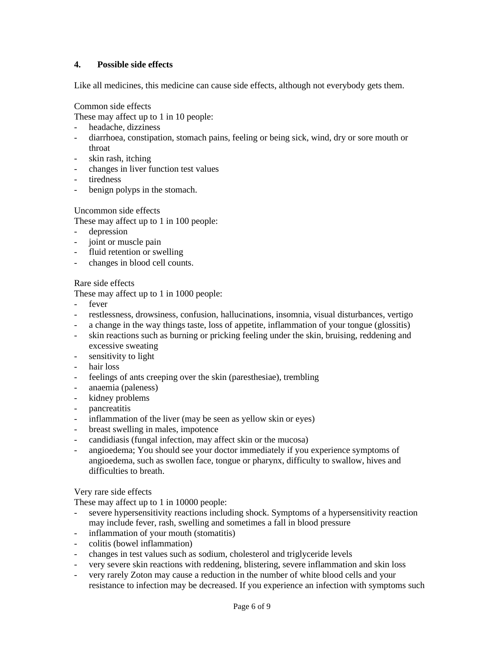# **4. Possible side effects**

Like all medicines, this medicine can cause side effects, although not everybody gets them.

#### Common side effects

These may affect up to 1 in 10 people:

- headache, dizziness
- diarrhoea, constipation, stomach pains, feeling or being sick, wind, dry or sore mouth or throat
- skin rash, itching
- changes in liver function test values
- tiredness
- benign polyps in the stomach.

### Uncommon side effects

These may affect up to 1 in 100 people:

- depression
- joint or muscle pain
- fluid retention or swelling
- changes in blood cell counts.

## Rare side effects

These may affect up to 1 in 1000 people:

- fever
- restlessness, drowsiness, confusion, hallucinations, insomnia, visual disturbances, vertigo
- a change in the way things taste, loss of appetite, inflammation of your tongue (glossitis)
- skin reactions such as burning or pricking feeling under the skin, bruising, reddening and excessive sweating
- sensitivity to light
- hair loss
- feelings of ants creeping over the skin (paresthesiae), trembling
- anaemia (paleness)
- kidney problems
- pancreatitis
- inflammation of the liver (may be seen as yellow skin or eyes)
- breast swelling in males, impotence
- candidiasis (fungal infection, may affect skin or the mucosa)
- angioedema; You should see your doctor immediately if you experience symptoms of angioedema, such as swollen face, tongue or pharynx, difficulty to swallow, hives and difficulties to breath.

### Very rare side effects

These may affect up to 1 in 10000 people:

- severe hypersensitivity reactions including shock. Symptoms of a hypersensitivity reaction may include fever, rash, swelling and sometimes a fall in blood pressure
- inflammation of your mouth (stomatitis)
- colitis (bowel inflammation)
- changes in test values such as sodium, cholesterol and triglyceride levels
- very severe skin reactions with reddening, blistering, severe inflammation and skin loss
- very rarely Zoton may cause a reduction in the number of white blood cells and your resistance to infection may be decreased. If you experience an infection with symptoms such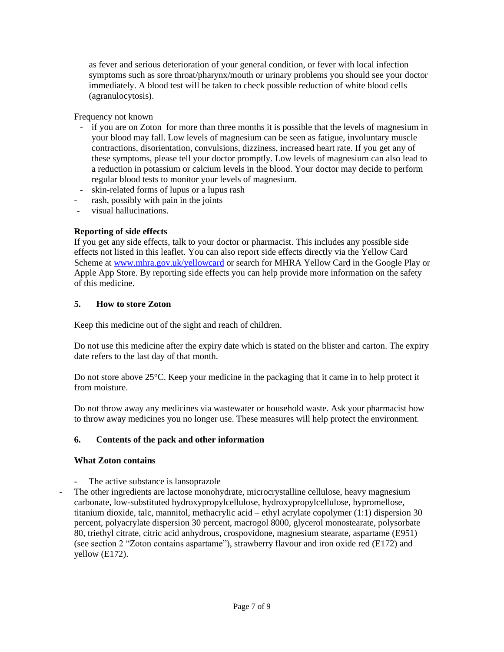as fever and serious deterioration of your general condition, or fever with local infection symptoms such as sore throat/pharynx/mouth or urinary problems you should see your doctor immediately. A blood test will be taken to check possible reduction of white blood cells (agranulocytosis).

Frequency not known

- if you are on Zoton for more than three months it is possible that the levels of magnesium in your blood may fall. Low levels of magnesium can be seen as fatigue, involuntary muscle contractions, disorientation, convulsions, dizziness, increased heart rate. If you get any of these symptoms, please tell your doctor promptly. Low levels of magnesium can also lead to a reduction in potassium or calcium levels in the blood. Your doctor may decide to perform regular blood tests to monitor your levels of magnesium.
- skin-related forms of lupus or a lupus rash
- rash, possibly with pain in the joints
- visual hallucinations.

# **Reporting of side effects**

If you get any side effects, talk to your doctor or pharmacist. This includes any possible side effects not listed in this leaflet. You can also report side effects directly via the Yellow Card Scheme at [www.mhra.gov.uk/yellowcard](http://www.mhra.gov.uk/yellowcard) or search for MHRA Yellow Card in the Google Play or Apple App Store. By reporting side effects you can help provide more information on the safety of this medicine.

# **5. How to store Zoton**

Keep this medicine out of the sight and reach of children.

Do not use this medicine after the expiry date which is stated on the blister and carton. The expiry date refers to the last day of that month.

Do not store above 25°C. Keep your medicine in the packaging that it came in to help protect it from moisture.

Do not throw away any medicines via wastewater or household waste. Ask your pharmacist how to throw away medicines you no longer use. These measures will help protect the environment.

# **6. Contents of the pack and other information**

# **What Zoton contains**

- The active substance is lansoprazole
- The other ingredients are lactose monohydrate, microcrystalline cellulose, heavy magnesium carbonate, low-substituted hydroxypropylcellulose, hydroxypropylcellulose, hypromellose, titanium dioxide, talc, mannitol, methacrylic acid – ethyl acrylate copolymer (1:1) dispersion 30 percent, polyacrylate dispersion 30 percent, macrogol 8000, glycerol monostearate, polysorbate 80, triethyl citrate, citric acid anhydrous, crospovidone, magnesium stearate, aspartame (E951) (see section 2 "Zoton contains aspartame"), strawberry flavour and iron oxide red (E172) and yellow (E172).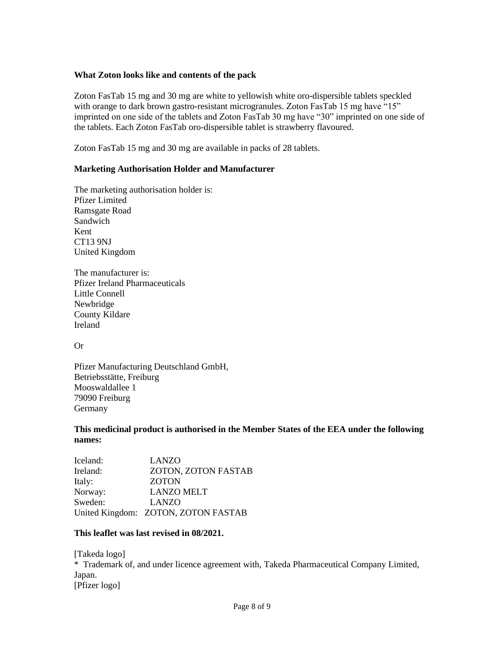### **What Zoton looks like and contents of the pack**

Zoton FasTab 15 mg and 30 mg are white to yellowish white oro-dispersible tablets speckled with orange to dark brown gastro-resistant microgranules. Zoton FasTab 15 mg have "15" imprinted on one side of the tablets and Zoton FasTab 30 mg have "30" imprinted on one side of the tablets. Each Zoton FasTab oro-dispersible tablet is strawberry flavoured.

Zoton FasTab 15 mg and 30 mg are available in packs of 28 tablets.

### **Marketing Authorisation Holder and Manufacturer**

The marketing authorisation holder is: Pfizer Limited Ramsgate Road Sandwich Kent CT13 9NJ United Kingdom

The manufacturer is: Pfizer Ireland Pharmaceuticals Little Connell Newbridge County Kildare Ireland

Or

Pfizer Manufacturing Deutschland GmbH, Betriebsstätte, Freiburg Mooswaldallee 1 79090 Freiburg **Germany** 

### **This medicinal product is authorised in the Member States of the EEA under the following names:**

Iceland: LANZO Ireland: ZOTON, ZOTON FASTAB Italy: ZOTON Norway: LANZO MELT Sweden: LANZO United Kingdom: ZOTON, ZOTON FASTAB

### **This leaflet was last revised in 08/2021.**

[Takeda logo] \* Trademark of, and under licence agreement with, Takeda Pharmaceutical Company Limited, Japan. [Pfizer logo]